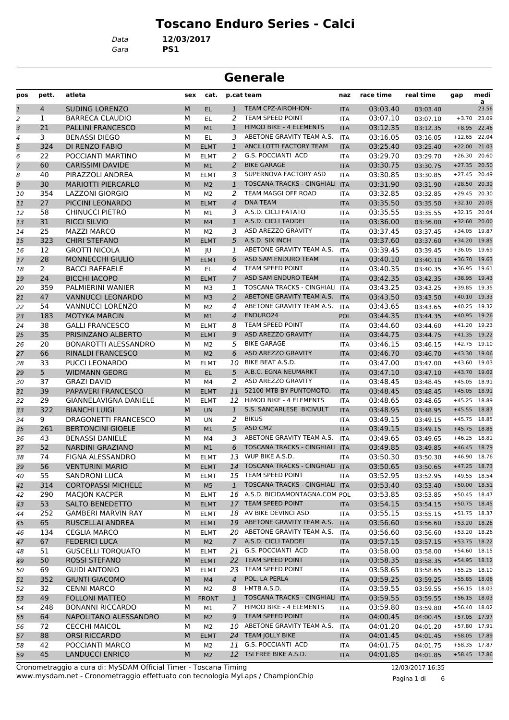# **Toscano Enduro Series - Calci**

*Data* **12/03/2017**

*Gara* **PS1**

# **Generale**

| pos           | pett.                 | atleta                                               | sex | cat.           |                    | p.cat team                        | naz                      | race time | real time            | gap      | medi<br>a      |
|---------------|-----------------------|------------------------------------------------------|-----|----------------|--------------------|-----------------------------------|--------------------------|-----------|----------------------|----------|----------------|
| $\mathfrak 1$ | $\overline{4}$        | <b>SUDING LORENZO</b>                                | M   | EL.            | $\mathbf{1}$       | TEAM CPZ-AIROH-ION-               | <b>ITA</b>               | 03:03.40  | 03:03.40             |          | 23.56          |
| 2             | 1                     | <b>BARRECA CLAUDIO</b>                               | М   | EL             | 2                  | TEAM SPEED POINT                  | ITA                      | 03:07.10  | 03:07.10             | $+3.70$  | 23.09          |
| 3             | 21                    | <b>PALLINI FRANCESCO</b>                             | M   | M1             | $\mathbf{1}$       | HIMOD BIKE - 4 ELEMENTS           | <b>ITA</b>               | 03:12.35  | 03:12.35             |          | $+8.95$ 22.46  |
| 4             | 3                     | <b>BENASSI DIEGO</b>                                 | М   | EL.            | 3                  | ABETONE GRAVITY TEAM A.S.         | <b>ITA</b>               | 03:16.05  | 03:16.05             | $+12.65$ | 22.04          |
| 5             | 324                   | DI RENZO FABIO                                       | M   | <b>ELMT</b>    | $\mathbf{1}$       | ANCILLOTTI FACTORY TEAM           | <b>ITA</b>               | 03:25.40  | 03:25.40             | $+22.00$ | 21.03          |
| 6             | 22                    | POCCIANTI MARTINO                                    | М   | <b>ELMT</b>    | 2                  | G.S. POCCIANTI ACD                | <b>ITA</b>               | 03:29.70  | 03:29.70             | $+26.30$ | 20.60          |
| 7             | 60                    | <b>CARISSIMI DAVIDE</b>                              | M   | M1             | 2                  | <b>BIKE GARAGE</b>                | <b>ITA</b>               | 03:30.75  | 03:30.75             |          | $+27.35$ 20.50 |
| 8             | 40                    | PIRAZZOLI ANDREA                                     | М   | <b>ELMT</b>    | 3                  | SUPERNOVA FACTORY ASD             | <b>ITA</b>               | 03:30.85  | 03:30.85             | $+27.45$ | 20.49          |
| 9             | 30                    | <b>MARIOTTI PIERCARLO</b>                            | M   | M <sub>2</sub> | $\mathbf{1}$       | TOSCANA TRACKS - CINGHIALI ITA    |                          | 03:31.90  | 03:31.90             |          | +28.50 20.39   |
| 10            | 354                   | <b>LAZZONI GIORGIO</b>                               | М   | M2             | 2                  | TEAM MAGGI OFF ROAD               | ITA                      | 03:32.85  | 03:32.85             | $+29.45$ | 20.30          |
| 11            | 27                    | PICCINI LEONARDO                                     | М   | <b>ELMT</b>    | $\overline{4}$     | <b>DNA TEAM</b>                   | <b>ITA</b>               | 03:35.50  | 03:35.50             | $+32.10$ | 20.05          |
| 12            | 58                    | <b>CHINUCCI PIETRO</b>                               | М   | M1             | 3                  | A.S.D. CICLI FATATO               | ITA                      | 03:35.55  | 03:35.55             |          | +32.15 20.04   |
| 13            | 31                    | <b>RICCI SILVIO</b>                                  | M   | M <sub>4</sub> | $\mathbf{1}$       | A.S.D. CICLI TADDEI               | <b>ITA</b>               | 03:36.00  | 03:36.00             |          | +32.60 20.00   |
| 14            | 25                    | <b>MAZZI MARCO</b>                                   | М   | M <sub>2</sub> | 3                  | ASD AREZZO GRAVITY                | <b>ITA</b>               | 03:37.45  | 03:37.45             |          | +34.05 19.87   |
| 15            | 323                   | <b>CHIRI STEFANO</b>                                 | M   | <b>ELMT</b>    | 5                  | A.S.D. SIX INCH                   | <b>ITA</b>               | 03:37.60  | 03:37.60             |          | +34.20 19.85   |
| 16            | 12                    | <b>GROTTI NICOLA</b>                                 | М   | JU             | 1                  | ABETONE GRAVITY TEAM A.S.         | <b>ITA</b>               | 03:39.45  | 03:39.45             |          | $+36.05$ 19.69 |
| 17            | 28                    | <b>MONNECCHI GIULIO</b>                              | M   | <b>ELMT</b>    | 6                  | ASD SAM ENDURO TEAM               | <b>ITA</b>               | 03:40.10  | 03:40.10             |          | +36.70 19.63   |
| 18            | $\mathbf{2}^{\prime}$ | <b>BACCI RAFFAELE</b>                                | М   | EL             | 4                  | TEAM SPEED POINT                  | <b>ITA</b>               | 03:40.35  | 03:40.35             |          | +36.95 19.61   |
| 19            | 24                    | <b>BICCHI IACOPO</b>                                 | M   | <b>ELMT</b>    | 7                  | ASD SAM ENDURO TEAM               | <b>ITA</b>               | 03:42.35  | 03:42.35             |          | +38.95 19.43   |
| 20            | 359                   | PALMIERINI WANIER                                    | М   | M <sub>3</sub> | 1                  | TOSCANA TRACKS - CINGHIALI ITA    |                          | 03:43.25  | 03:43.25             |          | +39.85 19.35   |
| 21            | 47                    | <b>VANNUCCI LEONARDO</b>                             | M   | M <sub>3</sub> | $\overline{2}$     | ABETONE GRAVITY TEAM A.S.         | <b>ITA</b>               | 03:43.50  | 03:43.50             |          | $+40.10$ 19.33 |
| 22            | 54                    | VANNUCCI LORENZO                                     | М   | M2             | 4                  | ABETONE GRAVITY TEAM A.S.         | <b>ITA</b>               | 03:43.65  | 03:43.65             |          | $+40.25$ 19.32 |
| 23            | 183                   | <b>MOTYKA MARCIN</b>                                 | M   | M1             | $\overline{4}$     | ENDURO24                          | <b>POL</b>               | 03:44.35  | 03:44.35             |          | +40.95 19.26   |
| 24            | 38                    | <b>GALLI FRANCESCO</b>                               | М   | <b>ELMT</b>    | 8                  | TEAM SPEED POINT                  | ITA                      | 03:44.60  | 03:44.60             |          | $+41.20$ 19.23 |
| 25            | 35                    | PRISINZANO ALBERTO                                   | M   | <b>ELMT</b>    | 9                  | ASD AREZZO GRAVITY                | <b>ITA</b>               | 03:44.75  | 03:44.75             |          | $+41.35$ 19.22 |
| 26            | 20                    | BONAROTTI ALESSANDRO                                 | М   | M <sub>2</sub> | 5                  | <b>BIKE GARAGE</b>                | <b>ITA</b>               | 03:46.15  | 03:46.15             |          | $+42.75$ 19.10 |
| 27            | 66                    | <b>RINALDI FRANCESCO</b>                             | M   | M <sub>2</sub> | 6                  | ASD AREZZO GRAVITY                | <b>ITA</b>               | 03:46.70  | 03:46.70             |          | +43.30 19.06   |
|               | 33                    | PUCCI LEONARDO                                       | М   |                | 10                 | BIKE BEAT A.S.D.                  |                          | 03:47.00  |                      |          | +43.60 19.03   |
| 28            | 5                     | <b>WIDMANN GEORG</b>                                 | M   | <b>ELMT</b>    | 5                  | A.B.C. EGNA NEUMARKT              | <b>ITA</b>               | 03:47.10  | 03:47.00             |          | +43.70 19.02   |
| 29            | 37                    | <b>GRAZI DAVID</b>                                   | М   | EL.<br>M4      | 2                  | ASD AREZZO GRAVITY                | <b>ITA</b><br><b>ITA</b> | 03:48.45  | 03:47.10             |          | +45.05 18.91   |
| 30            | 39                    | PAPAVERI FRANCESCO                                   | M   | <b>ELMT</b>    | 11                 | 52100 MTB BY PUNTOMOTO.           | <b>ITA</b>               | 03:48.45  | 03:48.45<br>03:48.45 |          | +45.05 18.91   |
| 31            | 29                    |                                                      | м   |                |                    | <b>HIMOD BIKE - 4 ELEMENTS</b>    |                          |           |                      |          | +45.25 18.89   |
| 32            | 322                   | <b>GIANNELAVIGNA DANIELE</b><br><b>BIANCHI LUIGI</b> | M   | <b>ELMT</b>    | 12<br>$\mathbf{1}$ | S.S. SANCARLESE BICIVULT          | <b>ITA</b>               | 03:48.65  | 03:48.65             |          | $+45.55$ 18.87 |
| 33            | 9                     | <b>DRAGONETTI FRANCESCO</b>                          |     | <b>UN</b>      | 2                  | <b>BIKUS</b>                      | <b>ITA</b>               | 03:48.95  | 03:48.95             |          | $+45.75$ 18.85 |
| 34            |                       |                                                      | М   | UN             |                    | ASD CM2                           | ITA                      | 03:49.15  | 03:49.15             |          |                |
| 35            | 261                   | <b>BERTONCINI GIOELE</b>                             | M   | M <sub>1</sub> | 5                  | ABETONE GRAVITY TEAM A.S.         | <b>ITA</b>               | 03:49.15  | 03:49.15             | $+45.75$ | 18.85          |
| 36            | 43                    | <b>BENASSI DANIELE</b>                               | м   | M4             | 3                  |                                   | <b>ITA</b>               | 03:49.65  | 03:49.65             |          | $+46.25$ 18.81 |
| 37            | 52                    | <b>NARDINI GRAZIANO</b>                              | M   | M1             | 6                  | TOSCANA TRACKS - CINGHIALI ITA    |                          | 03:49.85  | 03:49.85             |          | $+46.45$ 18.79 |
| 38            | 74                    | FIGNA ALESSANDRO                                     | м   | <b>ELMT</b>    | 13                 | WUP BIKE A.S.D.                   | <b>ITA</b>               | 03:50.30  | 03:50.30             |          | +46.90 18.76   |
| 39            | 56                    | <b>VENTURINI MARIO</b>                               | M   | <b>ELMT</b>    |                    | 14 TOSCANA TRACKS - CINGHIALI ITA |                          | 03:50.65  | 03:50.65             |          | $+47.25$ 18.73 |
| 40            | 55                    | <b>SANDRONI LUCA</b>                                 | м   | <b>ELMT</b>    |                    | 15 TEAM SPEED POINT               | ITA                      | 03:52.95  | 03:52.95             |          | +49.55 18.54   |
| 41            | 314                   | <b>CORTOPASSI MICHELE</b>                            | M   | M <sub>5</sub> | $\mathbf{1}$       | TOSCANA TRACKS - CINGHIALI ITA    |                          | 03:53.40  | 03:53.40             |          | +50.00 18.51   |
| 42            | 290                   | <b>MACJON KACPER</b>                                 | м   | <b>ELMT</b>    |                    | 16 A.S.D. BICIDAMONTAGNA.COM POL  |                          | 03:53.85  | 03:53.85             |          | $+50.45$ 18.47 |
| 43            | 53                    | SALTO BENEDETTO                                      | M   | <b>ELMT</b>    |                    | 17 TEAM SPEED POINT               | <b>ITA</b>               | 03:54.15  | 03:54.15             |          | $+50.75$ 18.45 |
| 44            | 252                   | <b>GAMBERI MARVIN RAY</b>                            | м   | <b>ELMT</b>    |                    | 18 AV BIKE DEVINCI ASD            | ITA                      | 03:55.15  | 03:55.15             |          | +51.75 18.37   |
| 45            | 65                    | RUSCELLAI ANDREA                                     | M   | <b>ELMT</b>    |                    | 19 ABETONE GRAVITY TEAM A.S.      | <b>ITA</b>               | 03:56.60  | 03:56.60             |          | +53.20 18.26   |
| 46            | 134                   | <b>CEGLIA MARCO</b>                                  | М   | <b>ELMT</b>    |                    | 20 ABETONE GRAVITY TEAM A.S.      | ITA                      | 03:56.60  | 03:56.60             |          | +53.20 18.26   |
| 47            | 67                    | <b>FEDERICI LUCA</b>                                 | М   | M <sub>2</sub> |                    | 7 A.S.D. CICLI TADDEI             | <b>ITA</b>               | 03:57.15  | 03:57.15             |          | +53.75 18.22   |
| 48            | 51                    | <b>GUSCELLI TORQUATO</b>                             | м   | <b>ELMT</b>    | 21                 | G.S. POCCIANTI ACD                | ITA                      | 03:58.00  | 03:58.00             |          | +54.60 18.15   |
| 49            | 50                    | ROSSI STEFANO                                        | M   | <b>ELMT</b>    |                    | 22 TEAM SPEED POINT               | <b>ITA</b>               | 03:58.35  | 03:58.35             |          | +54.95 18.12   |
| 50            | 69                    | <b>GUIDI ANTONIO</b>                                 | м   | <b>ELMT</b>    |                    | 23 TEAM SPEED POINT               | ITA                      | 03:58.65  | 03:58.65             |          | $+55.25$ 18.10 |
| 51            | 352                   | <b>GIUNTI GIACOMO</b>                                | М   | M4             | $\overline{4}$     | POL. LA PERLA                     | <b>ITA</b>               | 03:59.25  | 03:59.25             |          | +55.85 18.06   |
| 52            | 32                    | <b>CENNI MARCO</b>                                   | м   | M2             | 8                  | I-MTB A.S.D.                      | <b>ITA</b>               | 03:59.55  | 03:59.55             |          | $+56.15$ 18.03 |
| 53            | 49                    | <b>FOLLONI MATTEO</b>                                | М   | <b>FRONT</b>   | $\mathbf{1}$       | TOSCANA TRACKS - CINGHIALI ITA    |                          | 03:59.55  | 03:59.55             |          | $+56.15$ 18.03 |
| 54            | 248                   | <b>BONANNI RICCARDO</b>                              | м   | M1             | 7                  | HIMOD BIKE - 4 ELEMENTS           | ITA                      | 03:59.80  | 03:59.80             |          | +56.40 18.02   |
| 55            | 64                    | NAPOLITANO ALESSANDRO                                | M   | M <sub>2</sub> | 9                  | TEAM SPEED POINT                  | <b>ITA</b>               | 04:00.45  | 04:00.45             |          | +57.05 17.97   |
| 56            | 72                    | <b>CECCHI MAICOL</b>                                 | м   | M2             | 10                 | ABETONE GRAVITY TEAM A.S.         | <b>ITA</b>               | 04:01.20  | 04:01.20             |          | +57.80 17.91   |
| 57            | 88                    | <b>ORSI RICCARDO</b>                                 | M   | <b>ELMT</b>    |                    | 24 TEAM JOLLY BIKE                | <b>ITA</b>               | 04:01.45  | 04:01.45             |          | +58.05 17.89   |
| 58            | 42                    | POCCIANTI MARCO                                      | М   | M <sub>2</sub> |                    | 11 G.S. POCCIANTI ACD             | ITA                      | 04:01.75  | 04:01.75             |          | +58.35 17.87   |
| 59            | 45                    | <b>LANDUCCI ENRICO</b>                               | М   | M <sub>2</sub> |                    | 12 TSI FREE BIKE A.S.D.           | <b>ITA</b>               | 04:01.85  | 04:01.85             |          | +58.45 17.86   |

www.mysdam.net - Cronometraggio effettuato con tecnologia MyLaps / ChampionChip Cronometraggio a cura di: MySDAM Official Timer - Toscana Timing 12/03/2017 16:35

Pagina 1 di 6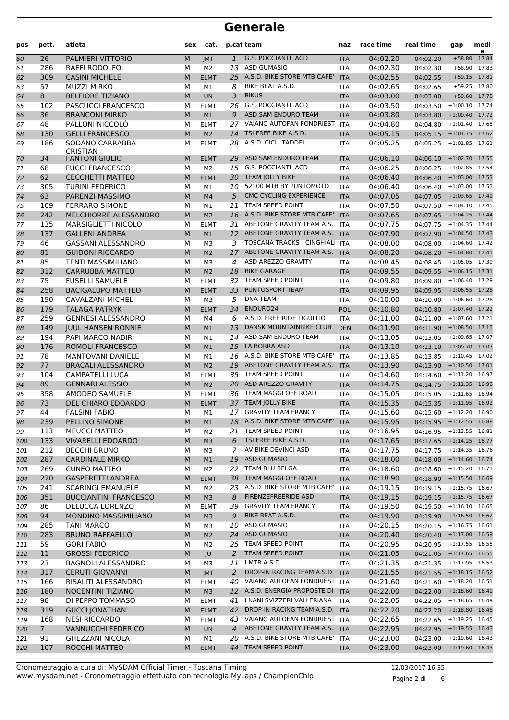| pos      | pett.          | atleta                                   | sex | cat.                          |                | p.cat team                                      | naz                      | race time | real time                 | gap              | medi<br>a |
|----------|----------------|------------------------------------------|-----|-------------------------------|----------------|-------------------------------------------------|--------------------------|-----------|---------------------------|------------------|-----------|
| 60       | 26             | PALMIERI VITTORIO                        | M   | <b>IMT</b>                    | $\mathbf{1}$   | <b>G.S. POCCIANTI ACD</b>                       | <b>ITA</b>               | 04:02.20  | 04:02.20                  | $+58.80$         | 17.84     |
| 61       | 286            | RAFFI RODOLFO                            | М   | M <sub>2</sub>                | 13             | <b>ASD GUMASIO</b>                              | <b>ITA</b>               | 04:02.30  | 04:02.30                  | $+58.90$         | 17.83     |
| 62       | 309            | <b>CASINI MICHELE</b>                    | M   | <b>ELMT</b>                   | 25             | A.S.D. BIKE STORE MTB CAFE'                     | <b>ITA</b>               | 04:02.55  | 04:02.55                  | $+59.15$         | 17.81     |
| 63       | 57             | <b>MUZZI MIRKO</b>                       | M   | M1                            | 8              | BIKE BEAT A.S.D.                                | <b>ITA</b>               | 04:02.65  | 04:02.65                  | +59.25 17.80     |           |
| 64       | 8              | <b>BELFIORE TIZIANO</b>                  | M   | <b>UN</b>                     | 3              | <b>BIKUS</b>                                    | <b>ITA</b>               | 04:03.00  | 04:03.00                  | +59.60 17.78     |           |
| 65       | 102            | PASCUCCI FRANCESCO                       | М   | <b>ELMT</b>                   | 26             | <b>G.S. POCCIANTI ACD</b>                       | <b>ITA</b>               | 04:03.50  | 04:03.50                  | $+1:00.10$ 17.74 |           |
| 66       | 36             | <b>BRANCONI MIRKO</b>                    | M   | M1                            | 9              | ASD SAM ENDURO TEAM                             | <b>ITA</b>               | 04:03.80  | 04:03.80                  | $+1:00.40$ 17.72 |           |
| 67       | 48             | PALLONI NICCOLÒ                          | М   | <b>ELMT</b>                   | 27             | VAIANO AUTOFAN FONDRIEST                        | <b>ITA</b>               | 04:04.80  | 04:04.80                  | $+1:01.40$ 17.65 |           |
| 68       | 130            | <b>GELLI FRANCESCO</b>                   | M   | M <sub>2</sub>                | 14             | TSI FREE BIKE A.S.D.                            | <b>ITA</b>               | 04:05.15  | 04:05.15                  | $+1:01.75$ 17.62 |           |
| 69       | 186            | SODANO CARRABBA                          | M   | <b>ELMT</b>                   |                | 28 A.S.D. CICLI TADDEI                          | <b>ITA</b>               | 04:05.25  | 04:05.25                  | $+1:01.85$ 17.61 |           |
| 70       | 34             | <b>CRISTIAN</b><br><b>FANTONI GIULIO</b> | M   | <b>ELMT</b>                   | 29             | ASD SAM ENDURO TEAM                             | <b>ITA</b>               | 04:06.10  | 04:06.10 +1:02.70 17.55   |                  |           |
| 71       | 68             | <b>FUCCI FRANCESCO</b>                   | М   | M <sub>2</sub>                |                | 15 G.S. POCCIANTI ACD                           | <b>ITA</b>               | 04:06.25  | 04:06.25                  | $+1:02.85$ 17.54 |           |
| 72       | 62             | <b>CECCHETTI MATTEO</b>                  | M   | <b>ELMT</b>                   |                | 30 TEAM JOLLY BIKE                              | <b>ITA</b>               | 04:06.40  | 04:06.40                  | $+1:03.00$ 17.53 |           |
| 73       | 305            | <b>TURINI FEDERICO</b>                   | М   | M1                            |                | 10 52100 MTB BY PUNTOMOTO.                      | <b>ITA</b>               | 04:06.40  | 04:06.40                  | $+1:03.00$ 17.53 |           |
| 74       | 63             | PARENZI MASSIMO                          | M   | M <sub>4</sub>                | 5              | <b>CMC CYCLING EXPERIENCE</b>                   | <b>ITA</b>               | 04:07.05  | 04:07.05 +1:03.65 17.49   |                  |           |
|          | 109            | <b>FERRARO SIMONE</b>                    | М   |                               | 11             | TEAM SPEED POINT                                |                          | 04:07.50  |                           | $+1:04.10$ 17.45 |           |
| 75       | 242            | MELCHIORRE ALESSANDRO                    | M   | M1                            |                | 16 A.S.D. BIKE STORE MTB CAFE'                  | <b>ITA</b><br><b>ITA</b> | 04:07.65  | 04:07.50                  | $+1:04.25$ 17.44 |           |
| 76<br>77 | 135            | <b>MARSIGLIETTI NICOLO'</b>              | М   | M <sub>2</sub><br><b>ELMT</b> |                | 31 ABETONE GRAVITY TEAM A.S.                    | <b>ITA</b>               | 04:07.75  | 04:07.65                  | $+1:04.35$ 17.44 |           |
|          | 137            | <b>GALLENI ANDREA</b>                    | M   |                               |                | 12 ABETONE GRAVITY TEAM A.S.                    |                          |           | 04:07.75                  | $+1:04.50$ 17.43 |           |
| 78       |                |                                          |     | M1                            |                | TOSCANA TRACKS - CINGHIALI ITA                  | <b>ITA</b>               | 04:07.90  | 04:07.90                  | $+1:04.60$ 17.42 |           |
| 79       | 46             | <b>GASSANI ALESSANDRO</b>                | М   | M <sub>3</sub>                | 3              |                                                 |                          | 04:08.00  | 04:08.00                  |                  |           |
| 80       | 81             | <b>GUIDONI RICCARDO</b>                  | M   | M <sub>2</sub>                | 17             | ABETONE GRAVITY TEAM A.S.<br>ASD AREZZO GRAVITY | <b>ITA</b>               | 04:08.20  | 04:08.20 +1:04.80 17.41   |                  |           |
| 81       | 85             | <b>TENTI MASSIMILIANO</b>                | м   | M <sub>3</sub>                | 4              |                                                 | <b>ITA</b>               | 04:08.45  | 04:08.45                  | $+1:05.05$ 17.39 |           |
| 82       | 312            | <b>CARRUBBA MATTEO</b>                   | M   | M <sub>2</sub>                | 18             | <b>BIKE GARAGE</b>                              | <b>ITA</b>               | 04:09.55  | 04:09.55                  | $+1:06.15$ 17.31 |           |
| 83       | 75             | <b>FUSELLI SAMUELE</b>                   | М   | <b>ELMT</b>                   | 32             | TEAM SPEED POINT                                | <b>ITA</b>               | 04:09.80  | 04:09.80                  | $+1:06.40$ 17.29 |           |
| 84       | 258            | <b>BACIGALUPO MATTEO</b>                 | M   | <b>ELMT</b>                   | 33             | PUNTOSPORT TEAM                                 | <b>ITA</b>               | 04:09.95  | 04:09.95                  | $+1:06.55$ 17.28 |           |
| 85       | 150            | <b>CAVALZANI MICHEL</b>                  | M   | M <sub>3</sub>                | 5              | <b>DNA TEAM</b>                                 | <b>ITA</b>               | 04:10.00  | 04:10.00                  | $+1:06.60$ 17.28 |           |
| 86       | 179            | <b>TALAGA PATRYK</b>                     | M   | <b>ELMT</b>                   | 34             | ENDURO24                                        | <b>POL</b>               | 04:10.80  | 04:10.80 +1:07.40 17.22   |                  |           |
| 87       | 259            | <b>GENNESI ALESSANDRO</b>                | М   | M4                            | 6              | A.S.D. FREE RIDE TIGULLIO                       | <b>ITA</b>               | 04:11.00  | 04:11.00                  | $+1:07.60$ 17.21 |           |
| 88       | 149            | <b>JUUL HANSEN RONNIE</b>                | M   | M1                            | 13             | <b>DANSK MOUNTAINBIKE CLUB</b>                  | <b>DEN</b>               | 04:11.90  | 04:11.90                  | $+1:08.50$ 17.15 |           |
| 89       | 194            | PAPI MARCO NADIR                         | М   | M1                            |                | 14 ASD SAM ENDURO TEAM                          | <b>ITA</b>               | 04:13.05  | 04:13.05                  | $+1:09.65$ 17.07 |           |
| 90       | 176            | ROMOLI FRANCESCO                         | M   | M1                            | 15             | LA BORRA ASD                                    | <b>ITA</b>               | 04:13.10  | 04:13.10                  | $+1:09.70$ 17.07 |           |
| 91       | 78             | <b>MANTOVANI DANIELE</b>                 | М   | M1                            |                | 16 A.S.D. BIKE STORE MTB CAFE'                  | <b>ITA</b>               | 04:13.85  | 04:13.85 +1:10.45 17.02   |                  |           |
| 92       | 77             | <b>BRACALI ALESSANDRO</b>                | M   | M <sub>2</sub>                |                | 19 ABETONE GRAVITY TEAM A.S.                    | <b>ITA</b>               | 04:13.90  | 04:13.90 +1:10.50 17.01   |                  |           |
| 93       | 104            | <b>CAMPATELLI LUCA</b>                   | М   | <b>ELMT</b>                   | 35             | TEAM SPEED POINT                                | <b>ITA</b>               | 04:14.60  | 04:14.60                  | $+1:11.20$ 16.97 |           |
| 94       | 89             | <b>GENNARI ALESSIO</b>                   | M   | M <sub>2</sub>                |                | 20 ASD AREZZO GRAVITY                           | <b>ITA</b>               | 04:14.75  | 04:14.75 +1:11.35 16.96   |                  |           |
| 95       | 358            | AMODEO SAMUELE                           | М   | <b>ELMT</b>                   |                | 36 TEAM MAGGI OFF ROAD                          | <b>ITA</b>               | 04:15.05  | 04:15.05 +1:11.65 16.94   |                  |           |
| 96       | 73             | DEL CHIARO EDOARDO                       | M   | <b>ELMT</b>                   |                | 37 TEAM JOLLY BIKE                              | <b>ITA</b>               | 04:15.35  | 04:15.35 +1:11.95 16.92   |                  |           |
| 97       | 44             | <b>FALSINI FABIO</b>                     | М   | M1                            |                | 17 GRAVITY TEAM FRANCY                          | <b>ITA</b>               | 04:15.60  | 04:15.60 +1:12.20 16.90   |                  |           |
| 98       | 239            | PELLINO SIMONE                           | M   | M1                            |                | 18 A.S.D. BIKE STORE MTB CAFE'                  | <b>ITA</b>               | 04:15.95  | 04:15.95 +1:12.55 16.88   |                  |           |
| 99       | 113            | <b>MEUCCI MATTEO</b>                     | М   | M2                            |                | 21 TEAM SPEED POINT                             | ITA.                     | 04:16.95  | 04:16.95 +1:13.55 16.81   |                  |           |
| 100      | 133            | <b>VIVARELLI EDOARDO</b>                 | M   | M <sub>3</sub>                | 6              | TSI FREE BIKE A.S.D.                            | <b>ITA</b>               | 04:17.65  | 04:17.65 +1:14.25 16.77   |                  |           |
| 101      | 212            | <b>BECCHI BRUNO</b>                      | м   | M3                            | 7              | AV BIKE DEVINCI ASD                             | <b>ITA</b>               | 04:17.75  | 04:17.75 +1:14.35 16.76   |                  |           |
| 102      | 287            | <b>CARDINALE MIRKO</b>                   | M   | M1                            |                | 19 ASD GUMASIO                                  | <b>ITA</b>               | 04:18.00  | 04:18.00 +1:14.60 16.74   |                  |           |
| 103      | 269            | <b>CUNEO MATTEO</b>                      | М   | M <sub>2</sub>                |                | 22 TEAM BLU BELGA                               | <b>ITA</b>               | 04:18.60  | 04:18.60 +1:15.20 16.71   |                  |           |
| 104      | 220            | <b>GASPERETTI ANDREA</b>                 | M   | <b>ELMT</b>                   |                | 38 TEAM MAGGI OFF ROAD                          | <b>ITA</b>               | 04:18.90  | 04:18.90 +1:15.50 16.69   |                  |           |
| 105      | 241            | <b>SCARINGI EMANUELE</b>                 | М   | M2                            |                | 23 A.S.D. BIKE STORE MTB CAFE'                  | <b>ITA</b>               | 04:19.15  | 04:19.15 +1:15.75 16.67   |                  |           |
| 106      | 351            | <b>BUCCIANTINI FRANCESCO</b>             | M   | M <sub>3</sub>                | 8              | FIRENZEFREERIDE ASD                             | <b>ITA</b>               | 04:19.15  | 04:19.15 +1:15.75 16.67   |                  |           |
| 107      | 86             | DELUCCA LORENZO                          | М   | <b>ELMT</b>                   | 39             | <b>GRAVITY TEAM FRANCY</b>                      | ITA                      | 04:19.50  | 04:19.50 +1:16.10 16.65   |                  |           |
| 108      | 94             | <b>MONDINO MASSIMILIANO</b>              | M   | M <sub>3</sub>                | 9              | BIKE BEAT A.S.D.                                | <b>ITA</b>               | 04:19.90  | 04:19.90 +1:16.50 16.62   |                  |           |
| 109      | 285            | <b>TANI MARCO</b>                        | М   | M3                            |                | 10 ASD GUMASIO                                  | ITA                      | 04:20.15  | 04:20.15 +1:16.75 16.61   |                  |           |
| 110      | 283            | <b>BRUNO RAFFAELLO</b>                   | M   | M <sub>2</sub>                |                | 24 ASD GUMASIO                                  | <b>ITA</b>               | 04:20.40  | 04:20.40 +1:17.00 16.59   |                  |           |
| 111      | 59             | <b>GORI FABIO</b>                        | М   | M <sub>2</sub>                |                | 25 TEAM SPEED POINT                             | <b>ITA</b>               | 04:20.95  | 04:20.95 +1:17.55 16.55   |                  |           |
| 112      | 11             | <b>GROSSI FEDERICO</b>                   | M   | JU                            | 2              | TEAM SPEED POINT                                | <b>ITA</b>               | 04:21.05  | 04:21.05 +1:17.65 16.55   |                  |           |
| 113      | 23             | <b>BAGNOLI ALESSANDRO</b>                | м   | M3                            |                | 11 I-MTB A.S.D.                                 | <b>ITA</b>               | 04:21.35  | 04:21.35 +1:17.95 16.53   |                  |           |
| 114      | 317            | <b>CERUTI GIOVANNI</b>                   | M   | <b>JMT</b>                    | $\overline{2}$ | DROP-IN RACING TEAM A.S.D.                      | <b>ITA</b>               | 04:21.55  | 04:21.55 +1:18.15 16.52   |                  |           |
| 115      | 166            | RISALITI ALESSANDRO                      | М   | <b>ELMT</b>                   |                | 40 VAIANO AUTOFAN FONDRIEST ITA                 |                          | 04:21.60  | 04:21.60 +1:18.20 16.51   |                  |           |
| 116      | 180            | <b>NOCENTINI TIZIANO</b>                 | M   | M <sub>3</sub>                |                | 12 A.S.D. ENERGIA PROPOSTE DI                   | <b>ITA</b>               | 04:22.00  | 04:22.00 +1:18.60 16.49   |                  |           |
| 117      | 98             | DI PEPPO TOMMASO                         | М   | <b>ELMT</b>                   | 41             | I NANI SVIZZERI VALLERIANA                      | <b>ITA</b>               | 04:22.05  | 04:22.05 +1:18.65 16.49   |                  |           |
| 118      | 319            | <b>GUCCI JONATHAN</b>                    | M   | <b>ELMT</b>                   |                | 42 DROP-IN RACING TEAM A.S.D. ITA               |                          | 04:22.20  | 04:22.20 +1:18.80 16.48   |                  |           |
| 119      | 168            | <b>NESI RICCARDO</b>                     | М   | <b>ELMT</b>                   |                | 43 VAIANO AUTOFAN FONDRIEST ITA                 |                          | 04:22.65  | 04:22.65 +1:19.25 16.45   |                  |           |
| 120      | $\overline{7}$ | <b>VANNUCCHI FEDERICO</b>                | M   | <b>UN</b>                     | $\overline{4}$ | ABETONE GRAVITY TEAM A.S.                       | <b>ITA</b>               | 04:22.95  | 04:22.95 +1:19.55 16.43   |                  |           |
| 121      | 91             | <b>GHEZZANI NICOLA</b>                   | М   | M1                            |                | 20 A.S.D. BIKE STORE MTB CAFE' ITA              |                          | 04:23.00  | $04:23.00$ +1:19.60 16.43 |                  |           |
| 122      | 107            | ROCCHI MATTEO                            | M   | <b>ELMT</b>                   |                | 44 TEAM SPEED POINT                             | <b>ITA</b>               | 04:23.00  | $04:23.00$ +1:19.60 16.43 |                  |           |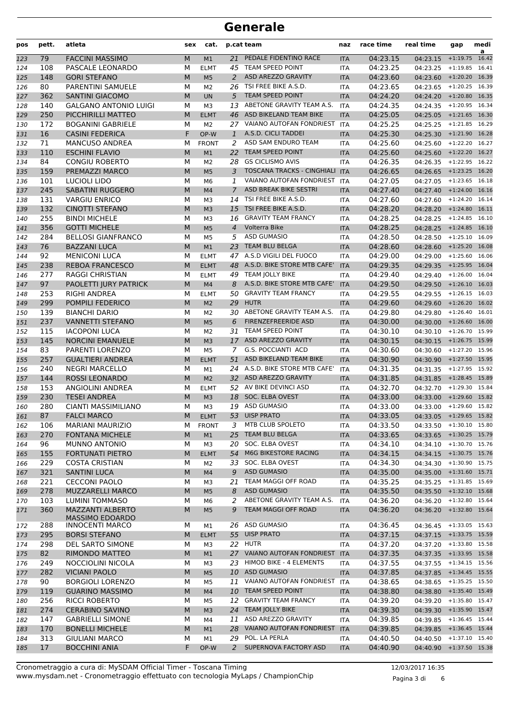| pos | pett. | atleta                       | sex | cat.           |                | p.cat team                        | naz        | race time | real time               | gap              | medi<br>a |
|-----|-------|------------------------------|-----|----------------|----------------|-----------------------------------|------------|-----------|-------------------------|------------------|-----------|
| 123 | 79    | <b>FACCINI MASSIMO</b>       | M   | M <sub>1</sub> | 21             | PEDALE FIDENTINO RACE             | <b>ITA</b> | 04:23.15  | 04:23.15                | $+1:19.75$       | 16.42     |
| 124 | 108   | PASCALE LEONARDO             | М   | <b>ELMT</b>    | 45             | TEAM SPEED POINT                  | <b>ITA</b> | 04:23.25  | 04:23.25                | $+1:19.85$       | 16.41     |
| 125 | 148   | <b>GORI STEFANO</b>          | M   | M <sub>5</sub> | 2              | ASD AREZZO GRAVITY                | <b>ITA</b> | 04:23.60  | $04:23.60$ +1:20.20     |                  | 16.39     |
| 126 | 80    | <b>PARENTINI SAMUELE</b>     | М   | M <sub>2</sub> | 26             | TSI FREE BIKE A.S.D.              | <b>ITA</b> | 04:23.65  | 04:23.65                | $+1:20.25$ 16.39 |           |
| 127 | 362   | <b>SANTINI GIACOMO</b>       | M   | <b>UN</b>      | 5              | <b>TEAM SPEED POINT</b>           | <b>ITA</b> | 04:24.20  | 04:24.20 +1:20.80 16.35 |                  |           |
| 128 | 140   | <b>GALGANO ANTONIO LUIGI</b> | М   | M3             | 13             | ABETONE GRAVITY TEAM A.S.         | <b>ITA</b> | 04:24.35  | $04:24.35$ +1:20.95     |                  | 16.34     |
| 129 | 250   | PICCHIRILLI MATTEO           | M   | <b>ELMT</b>    | 46             | ASD BIKELAND TEAM BIKE            | <b>ITA</b> | 04:25.05  | $04:25.05$ +1:21.65     |                  | 16.30     |
| 130 | 172   | <b>BOGANINI GABRIELE</b>     | М   | M2             |                | 27 VAIANO AUTOFAN FONDRIEST       | <b>ITA</b> | 04:25.25  | 04:25.25                | $+1:21.85$       | 16.29     |
| 131 | 16    | <b>CASINI FEDERICA</b>       | F   | OP-W           | 1              | A.S.D. CICLI TADDEI               | <b>ITA</b> | 04:25.30  | $04:25.30 + 1:21.90$    |                  | 16.28     |
| 132 | 71    | <b>MANCUSO ANDREA</b>        | М   | <b>FRONT</b>   | 2              | ASD SAM ENDURO TEAM               | <b>ITA</b> | 04:25.60  | 04:25.60                | $+1:22.20$       | 16.27     |
| 133 | 110   | <b>ESCHINI FLAVIO</b>        | M   | M1             | 22             | <b>TEAM SPEED POINT</b>           | <b>ITA</b> | 04:25.60  | 04:25.60 +1:22.20 16.27 |                  |           |
| 134 | 84    | <b>CONGIU ROBERTO</b>        | М   | M <sub>2</sub> | 28             | <b>GS CICLISMO AVIS</b>           | <b>ITA</b> | 04:26.35  | 04:26.35                | $+1:22.95$ 16.22 |           |
| 135 | 159   | PREMAZZI MARCO               | M   | M <sub>5</sub> | 3              | <b>TOSCANA TRACKS - CINGHIALI</b> | <b>ITA</b> | 04:26.65  | $04:26.65$ +1:23.25     |                  | 16.20     |
| 136 | 101   | <b>LUCIOLI LIDO</b>          | М   | M <sub>6</sub> | 1              | VAIANO AUTOFAN FONDRIEST          | <b>ITA</b> | 04:27.05  | 04:27.05                | $+1:23.65$       | 16.18     |
| 137 | 245   | <b>SABATINI RUGGERO</b>      | M   | M <sub>4</sub> | $\overline{7}$ | <b>ASD BREAK BIKE SESTRI</b>      | <b>ITA</b> | 04:27.40  | 04:27.40                | $+1:24.00$       | 16.16     |
| 138 | 131   | <b>VARGIU ENRICO</b>         | М   | M3             | 14             | TSI FREE BIKE A.S.D.              | <b>ITA</b> | 04:27.60  | 04:27.60                | $+1:24.20$ 16.14 |           |
| 139 | 132   | <b>CINOTTI STEFANO</b>       | M   | M <sub>3</sub> | 15             | TSI FREE BIKE A.S.D.              | <b>ITA</b> | 04:28.20  | 04:28.20                | $+1:24.80$       | 16.11     |
| 140 | 255   | <b>BINDI MICHELE</b>         | М   | M <sub>3</sub> | 16             | <b>GRAVITY TEAM FRANCY</b>        | <b>ITA</b> | 04:28.25  | 04:28.25                | $+1:24.85$       | 16.10     |
| 141 | 356   | <b>GOTTI MICHELE</b>         | M   | M <sub>5</sub> | $\overline{4}$ | Volterra Bike                     | <b>ITA</b> | 04:28.25  | $04:28.25$ +1:24.85     |                  | 16.10     |
| 142 | 284   | <b>BELLOSI GIANFRANCO</b>    | М   | M <sub>5</sub> | 5              | <b>ASD GUMASIO</b>                | <b>ITA</b> | 04:28.50  | 04:28.50                | $+1:25.10$       | 16.09     |
| 143 | 76    | <b>BAZZANI LUCA</b>          | M   | M1             | 23             | <b>TEAM BLU BELGA</b>             | <b>ITA</b> | 04:28.60  | 04:28.60                | $+1:25.20$       | 16.08     |
| 144 | 92    | <b>MENICONI LUCA</b>         | М   | <b>ELMT</b>    | 47             | A.S.D VIGILI DEL FUOCO            | <b>ITA</b> | 04:29.00  | 04:29.00                | $+1:25.60$       | 16.06     |
| 145 | 238   | <b>REBOA FRANCESCO</b>       | M   | <b>ELMT</b>    | 48             | A.S.D. BIKE STORE MTB CAFE'       | <b>ITA</b> | 04:29.35  | 04:29.35                | $+1:25.95$       | 16.04     |
| 146 | 277   | RAGGI CHRISTIAN              | М   | <b>ELMT</b>    |                | 49 TEAM JOLLY BIKE                | <b>ITA</b> | 04:29.40  | 04:29.40                | $+1:26.00$       | 16.04     |
| 147 | 97    | PAOLETTI JURY PATRICK        | M   | M <sub>4</sub> | 8              | A.S.D. BIKE STORE MTB CAFE'       | <b>ITA</b> | 04:29.50  | $04:29.50$ +1:26.10     |                  | 16.03     |
| 148 | 253   | RIGHI ANDREA                 | М   | <b>ELMT</b>    | 50             | <b>GRAVITY TEAM FRANCY</b>        | <b>ITA</b> | 04:29.55  | 04:29.55                | $+1:26.15$       | 16.03     |
| 149 | 299   | POMPILI FEDERICO             | M   | M <sub>2</sub> | 29             | <b>HUTR</b>                       | <b>ITA</b> | 04:29.60  | 04:29.60                | $+1:26.20$       | 16.02     |
| 150 | 139   | <b>BIANCHI DARIO</b>         | М   | M <sub>2</sub> | 30             | ABETONE GRAVITY TEAM A.S.         | <b>ITA</b> | 04:29.80  | 04:29.80                | $+1:26.40$       | 16.01     |
| 151 | 237   | VANNETTI STEFANO             | M   | M <sub>5</sub> | 6              | <b>FIRENZEFREERIDE ASD</b>        | <b>ITA</b> | 04:30.00  | $04:30.00 + 1:26.60$    |                  | 16.00     |
| 152 | 115   | <b>IACOPONI LUCA</b>         | М   | M <sub>2</sub> | 31             | <b>TEAM SPEED POINT</b>           | <b>ITA</b> | 04:30.10  | 04:30.10                | +1:26.70 15.99   |           |
| 153 | 145   | <b>NORCINI EMANUELE</b>      | M   | M <sub>3</sub> |                | 17 ASD AREZZO GRAVITY             | <b>ITA</b> | 04:30.15  | 04:30.15 +1:26.75 15.99 |                  |           |
| 154 | 83    | PARENTI LORENZO              | М   | M <sub>5</sub> | 7              | <b>G.S. POCCIANTI ACD</b>         | <b>ITA</b> | 04:30.60  | 04:30.60                | $+1:27.20$       | 15.96     |
| 155 | 257   | <b>GUALTIERI ANDREA</b>      | M   | <b>ELMT</b>    | 51             | ASD BIKELAND TEAM BIKE            | <b>ITA</b> | 04:30.90  | 04:30.90                | $+1:27.50$       | 15.95     |
| 156 | 240   | <b>NEGRI MARCELLO</b>        | M   | M1             | 24             | A.S.D. BIKE STORE MTB CAFE'       | <b>ITA</b> | 04:31.35  | 04:31.35                | $+1:27.95$ 15.92 |           |
| 157 | 144   | <b>ROSSI LEONARDO</b>        | M   | M <sub>2</sub> |                | 32 ASD AREZZO GRAVITY             | <b>ITA</b> | 04:31.85  | 04:31.85                | $+1:28.45$ 15.89 |           |
| 158 | 153   | <b>ANGIOLINI ANDREA</b>      | М   | <b>ELMT</b>    |                | 52 AV BIKE DEVINCI ASD            | <b>ITA</b> | 04:32.70  | 04:32.70                | $+1:29.30$ 15.84 |           |
| 159 | 230   | <b>TESEI ANDREA</b>          | M   | M <sub>3</sub> |                | 18 SOC. ELBA OVEST                | <b>ITA</b> | 04:33.00  | $04:33.00$ +1:29.60     |                  | 15.82     |
| 160 | 280   | <b>CIANTI MASSIMILIANO</b>   | М   | M3             | 19             | <b>ASD GUMASIO</b>                | <b>ITA</b> | 04:33.00  | 04:33.00                | $+1:29.60$       | 15.82     |
| 161 | 87    | <b>FALCI MARCO</b>           | M   | <b>ELMT</b>    |                | 53 UISP PRATO                     | <b>ITA</b> | 04:33.05  | 04:33.05 +1:29.65 15.82 |                  |           |
| 162 | 106   | <b>MARIANI MAURIZIO</b>      | м   | <b>FRONT</b>   | 3              | MTB CLUB SPOLETO                  | ITA        | 04:33.50  | 04:33.50 +1:30.10 15.80 |                  |           |
| 163 | 270   | <b>FONTANA MICHELE</b>       | M   | M1             |                | 25 TEAM BLU BELGA                 | <b>ITA</b> | 04:33.65  | 04:33.65 +1:30.25 15.79 |                  |           |
| 164 | 96    | <b>MUNNO ANTONIO</b>         | М   | M3             |                | 20 SOC. ELBA OVEST                | <b>ITA</b> | 04:34.10  | 04:34.10 +1:30.70 15.76 |                  |           |
| 165 | 155   | FORTUNATI PIETRO             | M   | <b>ELMT</b>    | 54             | M6G BIKESTORE RACING              | <b>ITA</b> | 04:34.15  | 04:34.15 +1:30.75 15.76 |                  |           |
| 166 | 229   | <b>COSTA CRISTIAN</b>        | М   | M2             |                | 33 SOC. ELBA OVEST                | ITA        | 04:34.30  | 04:34.30 +1:30.90 15.75 |                  |           |
| 167 | 321   | <b>SANTINI LUCA</b>          | M   | M4             | 9              | <b>ASD GUMASIO</b>                | <b>ITA</b> | 04:35.00  | 04:35.00 +1:31.60 15.71 |                  |           |
| 168 | 221   | <b>CECCONI PAOLO</b>         | М   | MЗ             | 21             | TEAM MAGGI OFF ROAD               | ITA        | 04:35.25  | 04:35.25 +1:31.85 15.69 |                  |           |
| 169 | 278   | <b>MUZZARELLI MARCO</b>      | M   | M <sub>5</sub> | 8              | <b>ASD GUMASIO</b>                | <b>ITA</b> | 04:35.50  | 04:35.50 +1:32.10 15.68 |                  |           |
| 170 | 103   | LUMINI TOMMASO               | М   | M6             | 2              | ABETONE GRAVITY TEAM A.S.         | <b>ITA</b> | 04:36.20  | 04:36.20 +1:32.80 15.64 |                  |           |
| 171 | 360   | <b>MAZZANTI ALBERTO</b>      | М   | M <sub>5</sub> | 9              | <b>TEAM MAGGI OFF ROAD</b>        | <b>ITA</b> | 04:36.20  | 04:36.20 +1:32.80 15.64 |                  |           |
|     |       | <b>MASSIMO EDOARDO</b>       |     |                |                |                                   |            |           |                         |                  |           |
| 172 | 288   | <b>INNOCENTI MARCO</b>       | М   | M1             |                | 26 ASD GUMASIO                    | ITA        | 04:36.45  | 04:36.45 +1:33.05 15.63 |                  |           |
| 173 | 295   | <b>BORSI STEFANO</b>         | M   | <b>ELMT</b>    |                | 55 UISP PRATO                     | <b>ITA</b> | 04:37.15  | 04:37.15 +1:33.75 15.59 |                  |           |
| 174 | 298   | DEL SARTO SIMONE             | М   | MЗ             |                | 22 HUTR                           | <b>ITA</b> | 04:37.20  | 04:37.20 +1:33.80 15.58 |                  |           |
| 175 | 82    | RIMONDO MATTEO               | M   | M1             |                | 27 VAIANO AUTOFAN FONDRIEST       | <b>ITA</b> | 04:37.35  | 04:37.35 +1:33.95 15.58 |                  |           |
| 176 | 249   | NOCCIOLINI NICOLA            | М   | M3             |                | 23 HIMOD BIKE - 4 ELEMENTS        | ITA        | 04:37.55  | 04:37.55                | $+1:34.15$ 15.56 |           |
| 177 | 282   | <b>VICIANI PAOLO</b>         | M   | M <sub>5</sub> |                | 10 ASD GUMASIO                    | <b>ITA</b> | 04:37.85  | 04:37.85 +1:34.45 15.55 |                  |           |
| 178 | 90    | <b>BORGIOLI LORENZO</b>      | М   | M5             |                | 11 VAIANO AUTOFAN FONDRIEST       | ITA        | 04:38.65  | 04:38.65 +1:35.25 15.50 |                  |           |
| 179 | 119   | <b>GUARINO MASSIMO</b>       | M   | M <sub>4</sub> |                | 10 TEAM SPEED POINT               | <b>ITA</b> | 04:38.80  | 04:38.80 +1:35.40 15.49 |                  |           |
| 180 | 256   | <b>RICCI ROBERTO</b>         | М   | M5             | 12             | <b>GRAVITY TEAM FRANCY</b>        | ITA        | 04:39.20  | 04:39.20 +1:35.80 15.47 |                  |           |
| 181 | 274   | <b>CERABINO SAVINO</b>       | M   | M <sub>3</sub> |                | 24 TEAM JOLLY BIKE                | <b>ITA</b> | 04:39.30  | 04:39.30 +1:35.90 15.47 |                  |           |
| 182 | 147   | <b>GABRIELLI SIMONE</b>      | М   | M4             |                | 11 ASD AREZZO GRAVITY             | ITA        | 04:39.85  | 04:39.85                | $+1:36.45$ 15.44 |           |
| 183 | 170   | <b>BONELLI MICHELE</b>       | M   | M1             | 28             | VAIANO AUTOFAN FONDRIEST          | <b>ITA</b> | 04:39.85  | 04:39.85 +1:36.45 15.44 |                  |           |
| 184 | 313   | <b>GIULIANI MARCO</b>        | М   | M1             | 29             | POL. LA PERLA                     | ITA.       | 04:40.50  | 04:40.50 +1:37.10 15.40 |                  |           |
| 185 | 17    | <b>BOCCHINI ANIA</b>         | F   | OP-W           | $\mathbf{2}$   | SUPERNOVA FACTORY ASD             | <b>ITA</b> | 04:40.90  | 04:40.90 +1:37.50 15.38 |                  |           |

Pagina 3 di 6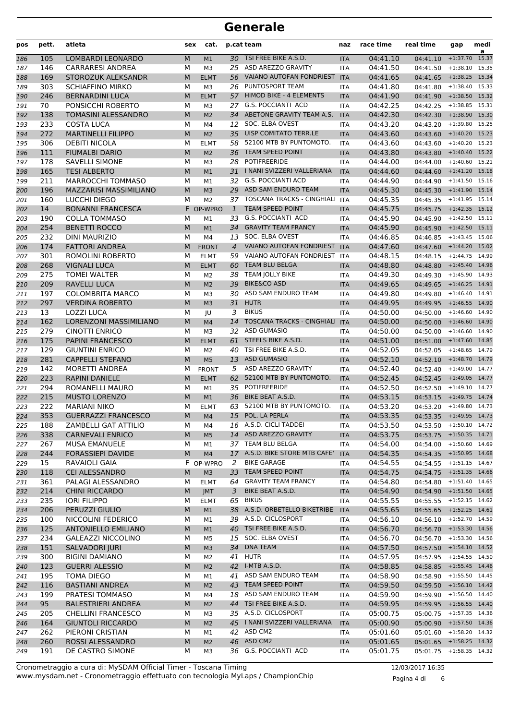| pos | pett. | atleta                        | sex | cat.           |                | p.cat team                        | naz        | race time | real time                 | gap              | medi<br>a |
|-----|-------|-------------------------------|-----|----------------|----------------|-----------------------------------|------------|-----------|---------------------------|------------------|-----------|
| 186 | 105   | LOMBARDI LEONARDO             | M   | M1             |                | 30 TSI FREE BIKE A.S.D.           | <b>ITA</b> | 04:41.10  | 04:41.10                  | $+1:37.70$       | 15.37     |
| 187 | 146   | <b>CARRARESI ANDREA</b>       | М   | M <sub>3</sub> |                | 25 ASD AREZZO GRAVITY             | <b>ITA</b> | 04:41.50  | 04:41.50                  | $+1:38.10$       | 15.35     |
| 188 | 169   | STOROZUK ALEKSANDR            | M   | <b>ELMT</b>    |                | 56 VAIANO AUTOFAN FONDRIEST       | <b>ITA</b> | 04:41.65  | 04:41.65                  | $+1:38.25$       | 15.34     |
| 189 | 303   | SCHIAFFINO MIRKO              | М   | M <sub>3</sub> | 26             | PUNTOSPORT TEAM                   | <b>ITA</b> | 04:41.80  | 04:41.80                  | $+1:38.40$       | 15.33     |
| 190 | 246   | <b>BERNARDINI LUCA</b>        | M   | <b>ELMT</b>    |                | 57 HIMOD BIKE - 4 ELEMENTS        | <b>ITA</b> | 04:41.90  | 04:41.90                  | $+1:38.50$ 15.32 |           |
| 191 | 70    | PONSICCHI ROBERTO             | М   | M3             | 27             | <b>G.S. POCCIANTI ACD</b>         | ITA        | 04:42.25  | 04:42.25                  | $+1:38.85$       | 15.31     |
| 192 | 138   | TOMASINI ALESSANDRO           | M   | M <sub>2</sub> |                | 34 ABETONE GRAVITY TEAM A.S.      | <b>ITA</b> | 04:42.30  | 04:42.30                  | $+1:38.90$ 15.30 |           |
| 193 | 233   | <b>COSTA LUCA</b>             | М   | M4             | 12             | SOC. ELBA OVEST                   | <b>ITA</b> | 04:43.20  | 04:43.20                  | $+1:39.80$       | 15.25     |
| 194 | 272   | <b>MARTINELLI FILIPPO</b>     | M   | M <sub>2</sub> | 35             | <b>UISP COMITATO TERR.LE</b>      | <b>ITA</b> | 04:43.60  | 04:43.60                  | $+1:40.20$       | 15.23     |
| 195 | 306   | <b>DEBITI NICOLA</b>          | M   | <b>ELMT</b>    | 58             | 52100 MTB BY PUNTOMOTO.           | <b>ITA</b> | 04:43.60  | 04:43.60                  | $+1:40.20$ 15.23 |           |
| 196 | 111   | <b>FIUMALBI DARIO</b>         | M   | M <sub>2</sub> | 36             | <b>TEAM SPEED POINT</b>           | <b>ITA</b> | 04:43.80  | 04:43.80                  | $+1:40.40$ 15.22 |           |
| 197 | 178   | <b>SAVELLI SIMONE</b>         | М   | M3             | 28             | <b>POTIFREERIDE</b>               | ITA        | 04:44.00  | 04:44.00                  | $+1:40.60$       | 15.21     |
| 198 | 165   | <b>TESI ALBERTO</b>           | M   | M1             |                | 31   NANI SVIZZERI VALLERIANA     | <b>ITA</b> | 04:44.60  | 04:44.60                  | $+1:41.20$ 15.18 |           |
| 199 | 211   | <b>MARROCCHI TOMMASO</b>      | М   | M1             |                | 32 G.S. POCCIANTI ACD             | <b>ITA</b> | 04:44.90  | 04:44.90                  | $+1:41.50$       | 15.16     |
| 200 | 196   | MAZZARISI MASSIMILIANO        | M   | M <sub>3</sub> | 29             | ASD SAM ENDURO TEAM               | <b>ITA</b> | 04:45.30  | 04:45.30                  | $+1:41.90$       | 15.14     |
| 201 | 160   | LUCCHI DIEGO                  | М   | M <sub>2</sub> | 37             | <b>TOSCANA TRACKS - CINGHIALI</b> | <b>ITA</b> | 04:45.35  | 04:45.35                  | $+1:41.95$ 15.14 |           |
| 202 | 14    | <b>BONANNI FRANCESCA</b>      |     | F OP-WPRO      | $\mathbf{1}$   | <b>TEAM SPEED POINT</b>           | <b>ITA</b> | 04:45.75  | 04:45.75                  | $+1:42.35$ 15.12 |           |
| 203 | 190   | <b>COLLA TOMMASO</b>          | м   | M1             |                | 33 G.S. POCCIANTI ACD             | <b>ITA</b> | 04:45.90  | 04:45.90                  | $+1:42.50$       | 15.11     |
| 204 | 254   | <b>BENETTI ROCCO</b>          | M   | M1             |                | 34 GRAVITY TEAM FRANCY            | <b>ITA</b> | 04:45.90  | 04:45.90 +1:42.50 15.11   |                  |           |
| 205 | 232   | <b>DINI MAURIZIO</b>          | М   | M4             | 13             | SOC. ELBA OVEST                   | <b>ITA</b> | 04:46.85  | 04:46.85                  | $+1:43.45$       | 15.06     |
| 206 | 174   | <b>FATTORI ANDREA</b>         | M   | <b>FRONT</b>   | $\overline{4}$ | VAIANO AUTOFAN FONDRIEST          | <b>ITA</b> | 04:47.60  | 04:47.60                  | $+1:44.20$       | 15.02     |
| 207 | 301   | ROMOLINI ROBERTO              | М   | <b>ELMT</b>    | 59             | VAIANO AUTOFAN FONDRIEST          | <b>ITA</b> | 04:48.15  | 04:48.15                  | $+1:44.75$       | 14.99     |
| 208 | 268   | <b>VIGNALI LUCA</b>           | M   | <b>ELMT</b>    | 60             | <b>TEAM BLU BELGA</b>             | <b>ITA</b> | 04:48.80  | 04:48.80                  | $+1:45.40$ 14.96 |           |
| 209 | 275   | <b>TOMEI WALTER</b>           | М   | M <sub>2</sub> | 38             | <b>TEAM JOLLY BIKE</b>            | <b>ITA</b> | 04:49.30  | 04:49.30                  | $+1:45.90$       | 14.93     |
| 210 | 209   | <b>RAVELLI LUCA</b>           | M   | M <sub>2</sub> | 39             | <b>BIKE&amp;CO ASD</b>            | <b>ITA</b> | 04:49.65  | 04:49.65                  | $+1:46.25$ 14.91 |           |
| 211 | 197   | <b>COLOMBRITA MARCO</b>       | М   | M <sub>3</sub> | 30             | ASD SAM ENDURO TEAM               | <b>ITA</b> | 04:49.80  | 04:49.80                  | $+1:46.40$       | 14.91     |
| 212 | 297   | <b>VERDINA ROBERTO</b>        | M   | M <sub>3</sub> | 31             | <b>HUTR</b>                       | <b>ITA</b> | 04:49.95  | 04:49.95                  | $+1:46.55$       | 14.90     |
| 213 | 13    | LOZZI LUCA                    | М   | JU             | 3              | <b>BIKUS</b>                      | <b>ITA</b> | 04:50.00  | 04:50.00                  | $+1:46.60$       | 14.90     |
| 214 | 162   | <b>LORENZONI MASSIMILIANO</b> | M   | M <sub>4</sub> | 14             | <b>TOSCANA TRACKS - CINGHIALI</b> | <b>ITA</b> | 04:50.00  | 04:50.00                  | $+1:46.60$ 14.90 |           |
| 215 | 279   | CINOTTI ENRICO                | М   | M3             |                | 32 ASD GUMASIO                    | <b>ITA</b> | 04:50.00  | 04:50.00                  | $+1:46.60$       | 14.90     |
| 216 | 175   | <b>PAPINI FRANCESCO</b>       | M   | <b>ELMT</b>    | 61             | STEELS BIKE A.S.D.                | <b>ITA</b> | 04:51.00  | $04:51.00 +1:47.60$       |                  | 14.85     |
| 217 | 129   | <b>GIUNTINI ENRICO</b>        | М   | M <sub>2</sub> | 40             | TSI FREE BIKE A.S.D.              | <b>ITA</b> | 04:52.05  | 04:52.05                  | $+1:48.65$       | 14.79     |
| 218 | 281   | <b>CAPPELLI STEFANO</b>       | M   | M <sub>5</sub> | 13             | <b>ASD GUMASIO</b>                | <b>ITA</b> | 04:52.10  | 04:52.10                  | $+1:48.70$       | 14.79     |
| 219 | 142   | <b>MORETTI ANDREA</b>         | М   | <b>FRONT</b>   | 5              | ASD AREZZO GRAVITY                | <b>ITA</b> | 04:52.40  | 04:52.40                  | $+1:49.00$       | 14.77     |
| 220 | 223   | <b>RAPINI DANIELE</b>         | M   | <b>ELMT</b>    | 62             | 52100 MTB BY PUNTOMOTO.           | <b>ITA</b> | 04:52.45  | 04:52.45                  | $+1:49.05$       | 14.77     |
| 221 | 294   | ROMANELLI MAURO               | М   | M1             |                | 35 POTIFREERIDE                   | <b>ITA</b> | 04:52.50  | 04:52.50                  | $+1:49.10$       | 14.77     |
| 222 | 215   | <b>MUSTO LORENZO</b>          | M   | M1             |                | 36 BIKE BEAT A.S.D.               | <b>ITA</b> | 04:53.15  | $04:53.15$ +1:49.75       |                  | 14.74     |
| 223 | 222   | <b>MARIANI NIKO</b>           | М   | <b>ELMT</b>    | 63             | 52100 MTB BY PUNTOMOTO.           | <b>ITA</b> | 04:53.20  | 04:53.20                  | $+1:49.80$       | 14.73     |
| 224 | 353   | <b>GUERRAZZI FRANCESCO</b>    | M   | M4             |                | 15 POL. LA PERLA                  | <b>ITA</b> | 04:53.35  | $04:53.35$ +1:49.95 14.73 |                  |           |
| 225 | 188   | ZAMBELLI GAT ATTILIO          | м   | M4             |                | 16 A.S.D. CICLI TADDEI            | ITA        | 04:53.50  | 04:53.50 +1:50.10 14.72   |                  |           |
| 226 | 338   | <b>CARNEVALI ENRICO</b>       | M   | M <sub>5</sub> |                | 14 ASD AREZZO GRAVITY             | <b>ITA</b> | 04:53.75  | 04:53.75 +1:50.35 14.71   |                  |           |
| 227 | 267   | <b>MUSA EMANUELE</b>          | М   | M1             |                | 37 TEAM BLU BELGA                 | ITA        | 04:54.00  | 04:54.00 +1:50.60 14.69   |                  |           |
| 228 | 244   | <b>FORASSIEPI DAVIDE</b>      | M   | M <sub>4</sub> |                | 17 A.S.D. BIKE STORE MTB CAFE'    | <b>ITA</b> | 04:54.35  | 04:54.35 +1:50.95 14.68   |                  |           |
| 229 | 15    | RAVAIOLI GAIA                 |     | F OP-WPRO      | 2              | <b>BIKE GARAGE</b>                | ITA        | 04:54.55  | 04:54.55                  | $+1:51.15$ 14.67 |           |
| 230 | 118   | <b>CEI ALESSANDRO</b>         | M   | M <sub>3</sub> | 33             | TEAM SPEED POINT                  | <b>ITA</b> | 04:54.75  | 04:54.75                  | $+1:51.35$ 14.66 |           |
| 231 | 361   | PALAGI ALESSANDRO             | М   | <b>ELMT</b>    | 64             | <b>GRAVITY TEAM FRANCY</b>        | ITA        | 04:54.80  | 04:54.80                  | $+1:51.40$ 14.65 |           |
| 232 | 214   | <b>CHINI RICCARDO</b>         | M   | <b>JMT</b>     | 3              | BIKE BEAT A.S.D.                  | <b>ITA</b> | 04:54.90  | 04:54.90 +1:51.50 14.65   |                  |           |
| 233 | 235   | <b>IORI FILIPPO</b>           | М   | <b>ELMT</b>    |                | 65 BIKUS                          | ITA        | 04:55.55  | 04:55.55 +1:52.15 14.62   |                  |           |
| 234 | 206   | PERUZZI GIULIO                | M   | M1             |                | 38 A.S.D. ORBETELLO BIKETRIBE     | <b>ITA</b> | 04:55.65  | 04:55.65 +1:52.25 14.61   |                  |           |
| 235 | 100   | NICCOLINI FEDERICO            | М   | M1             |                | 39 A.S.D. CICLOSPORT              | ITA        | 04:56.10  | 04:56.10                  | $+1:52.70$ 14.59 |           |
| 236 | 125   | <b>ANTONIELLO EMILIANO</b>    | M   | M1             | 40             | TSI FREE BIKE A.S.D.              | <b>ITA</b> | 04:56.70  | 04:56.70 +1:53.30 14.56   |                  |           |
| 237 | 234   | <b>GALEAZZI NICCOLINO</b>     | М   | M5             |                | 15 SOC. ELBA OVEST                | ITA        | 04:56.70  | 04:56.70                  | $+1:53.30$ 14.56 |           |
| 238 | 151   | SALVADORI JURI                | M   | M <sub>3</sub> | 34             | <b>DNA TEAM</b>                   | <b>ITA</b> | 04:57.50  | 04:57.50 +1:54.10 14.52   |                  |           |
| 239 | 300   | <b>BIGINI DAMIANO</b>         | М   | M2             |                | 41 HUTR                           | ITA        | 04:57.95  | $04:57.95$ +1:54.55 14.50 |                  |           |
| 240 | 123   | <b>GUERRI ALESSIO</b>         | M   | M <sub>2</sub> |                | 42 I-MTB A.S.D.                   | <b>ITA</b> | 04:58.85  | 04:58.85 +1:55.45 14.46   |                  |           |
| 241 | 195   | TOMA DIEGO                    | М   | M1             |                | 41 ASD SAM ENDURO TEAM            | ITA        | 04:58.90  | 04:58.90                  | $+1:55.50$ 14.45 |           |
| 242 | 116   | <b>BASTIANI ANDREA</b>        | M   | M <sub>2</sub> |                | 43 TEAM SPEED POINT               | <b>ITA</b> | 04:59.50  | 04:59.50                  | $+1:56.10$ 14.42 |           |
| 243 | 199   | PRATESI TOMMASO               | М   | M4             |                | 18 ASD SAM ENDURO TEAM            | ITA        | 04:59.90  | 04:59.90                  | $+1:56.50$ 14.40 |           |
| 244 | 95    | <b>BALESTRIERI ANDREA</b>     | M   | M <sub>2</sub> |                | 44 TSI FREE BIKE A.S.D.           | <b>ITA</b> | 04:59.95  | 04:59.95                  | $+1:56.55$ 14.40 |           |
| 245 | 205   | <b>CHELLINI FRANCESCO</b>     | М   | M3             |                | 35 A.S.D. CICLOSPORT              | <b>ITA</b> | 05:00.75  | $05:00.75$ +1:57.35 14.36 |                  |           |
| 246 | 164   | <b>GIUNTOLI RICCARDO</b>      | M   | M <sub>2</sub> |                | 45   NANI SVIZZERI VALLERIANA     | <b>ITA</b> | 05:00.90  | 05:00.90 +1:57.50 14.36   |                  |           |
| 247 | 262   | PIERONI CRISTIAN              | М   | M1             |                | 42 ASD CM2                        | ITA        | 05:01.60  | 05:01.60                  | $+1:58.20$ 14.32 |           |
| 248 | 260   | ROSSI ALESSANDRO              | M   | M <sub>2</sub> |                | 46 ASD CM2                        | <b>ITA</b> | 05:01.65  | 05:01.65                  | $+1:58.25$ 14.32 |           |
| 249 | 191   | DE CASTRO SIMONE              | М   | M3             |                | 36 G.S. POCCIANTI ACD             | ITA        | 05:01.75  | 05:01.75                  | $+1:58.35$ 14.32 |           |

www.mysdam.net - Cronometraggio effettuato con tecnologia MyLaps / ChampionChip Cronometraggio a cura di: MySDAM Official Timer - Toscana Timing 12/03/2017 16:35

Pagina 4 di 6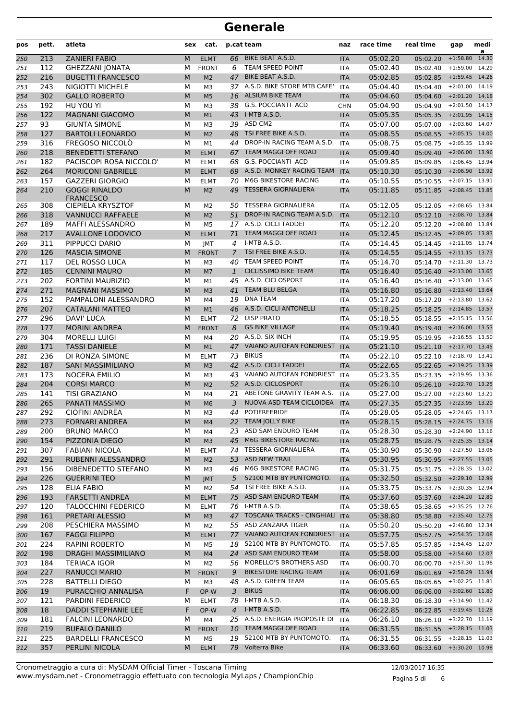| pos        | pett.      | atleta                                      | sex       | cat.                       |                | p.cat team                                         | naz                      | race time            | real time                           | gap                                | medi<br>a |
|------------|------------|---------------------------------------------|-----------|----------------------------|----------------|----------------------------------------------------|--------------------------|----------------------|-------------------------------------|------------------------------------|-----------|
| 250        | 213        | <b>ZANIERI FABIO</b>                        | M         | <b>ELMT</b>                | 66             | BIKE BEAT A.S.D.                                   | <b>ITA</b>               | 05:02.20             | 05:02.20                            | $+1:58.80$                         | 14.30     |
| 251        | 112        | <b>GHEZZANI JONATA</b>                      | M         | <b>FRONT</b>               | 6              | TEAM SPEED POINT                                   | <b>ITA</b>               | 05:02.40             | 05:02.40                            | $+1:59.00$                         | 14.29     |
| 252        | 216        | <b>BUGETTI FRANCESCO</b>                    | M         | M <sub>2</sub>             | 47             | BIKE BEAT A.S.D.                                   | <b>ITA</b>               | 05:02.85             | 05:02.85                            | +1:59.45 14.26                     |           |
| 253        | 243        | NIGIOTTI MICHELE                            | М         | M3                         |                | 37 A.S.D. BIKE STORE MTB CAFE'                     | <b>ITA</b>               | 05:04.40             | 05:04.40                            | $+2:01.00$                         | 14.19     |
| 254        | 302        | <b>GALLO ROBERTO</b>                        | M         | M <sub>5</sub>             | 16             | <b>ALSIUM BIKE TEAM</b>                            | <b>ITA</b>               | 05:04.60             | 05:04.60                            | $+2:01.20$ 14.18                   |           |
| 255        | 192        | HU YOU YI                                   | М         | M <sub>3</sub>             |                | 38 G.S. POCCIANTI ACD                              | <b>CHN</b>               | 05:04.90             | 05:04.90                            | $+2:01.50$ 14.17                   |           |
| 256        | 122        | <b>MAGNANI GIACOMO</b>                      | M         | M1                         | 43             | I-MTB A.S.D.                                       | <b>ITA</b>               | 05:05.35             | 05:05.35                            | $+2:01.95$                         | 14.15     |
| 257        | 93         | <b>GIUNTA SIMONE</b>                        | M         | M <sub>3</sub>             |                | 39 ASD CM2                                         | <b>ITA</b>               | 05:07.00             | 05:07.00                            | $+2:03.60$ 14.07                   |           |
| 258        | 127        | <b>BARTOLI LEONARDO</b>                     | M         | M <sub>2</sub>             | 48             | TSI FREE BIKE A.S.D.<br>DROP-IN RACING TEAM A.S.D. | <b>ITA</b>               | 05:08.55             | 05:08.55                            | $+2:05.15$ 14.00                   |           |
| 259        | 316        | FREGOSO NICCOLÒ<br><b>BENEDETTI STEFANO</b> | М         | M1                         | 44             | <b>TEAM MAGGI OFF ROAD</b>                         | <b>ITA</b>               | 05:08.75             | 05:08.75                            | +2:05.35 13.99<br>$+2:06.00$ 13.96 |           |
| 260        | 218<br>182 | PACISCOPI ROSA NICCOLO'                     | M<br>М    | <b>ELMT</b><br><b>ELMT</b> | 67<br>68       | <b>G.S. POCCIANTI ACD</b>                          | <b>ITA</b><br><b>ITA</b> | 05:09.40<br>05:09.85 | 05:09.40                            | $+2:06.45$ 13.94                   |           |
| 261        | 264        | <b>MORICONI GABRIELE</b>                    | M         |                            | 69             | A.S.D. MONKEY RACING TEAM                          |                          | 05:10.30             | 05:09.85                            | $+2:06.90$                         | 13.92     |
| 262<br>263 | 157        | <b>GAZZERI GIORGIO</b>                      | M         | <b>ELMT</b><br><b>ELMT</b> | 70             | M6G BIKESTORE RACING                               | <b>ITA</b><br><b>ITA</b> | 05:10.55             | 05:10.30<br>05:10.55                | +2:07.15 13.91                     |           |
| 264        | 210        | <b>GOGGI RINALDO</b>                        | M         | M <sub>2</sub>             | 49             | <b>TESSERA GIORNALIERA</b>                         | <b>ITA</b>               | 05:11.85             | 05:11.85                            | $+2:08.45$ 13.85                   |           |
|            |            | <b>FRANCESCO</b>                            |           |                            |                |                                                    |                          |                      |                                     |                                    |           |
| 265        | 308        | <b>CIEPIELA KRYSZTOF</b>                    | М         | M2                         | 50             | <b>TESSERA GIORNALIERA</b>                         | <b>ITA</b>               | 05:12.05             | 05:12.05                            | $+2:08.65$ 13.84                   |           |
| 266        | 318        | <b>VANNUCCI RAFFAELE</b>                    | M         | M <sub>2</sub>             | 51             | DROP-IN RACING TEAM A.S.D.                         | <b>ITA</b>               | 05:12.10             | 05:12.10                            | $+2:08.70$                         | 13.84     |
| 267        | 189        | <b>MAFFI ALESSANDRO</b>                     | M         | M <sub>5</sub>             | 17             | A.S.D. CICLI TADDEI                                | <b>ITA</b>               | 05:12.20             | 05:12.20                            | +2:08.80 13.84                     |           |
| 268        | 217        | <b>AVALLONE LODOVICO</b>                    | M         | <b>ELMT</b>                | 71             | <b>TEAM MAGGI OFF ROAD</b>                         | <b>ITA</b>               | 05:12.45             | 05:12.45                            | $+2:09.05$ 13.83                   |           |
| 269        | 311        | PIPPUCCI DARIO                              | М         | <b>IMT</b>                 | 4              | I-MTB A.S.D.                                       | ITA                      | 05:14.45             | 05:14.45 +2:11.05 13.74             |                                    |           |
| 270        | 126        | <b>MASCIA SIMONE</b>                        | M         | <b>FRONT</b>               | $\mathcal{I}$  | TSI FREE BIKE A.S.D.                               | <b>ITA</b>               | 05:14.55             | 05:14.55 +2:11.15 13.73             |                                    |           |
| 271        | 117        | <b>DEL ROSSO LUCA</b>                       | М         | M <sub>3</sub>             | 40             | TEAM SPEED POINT                                   | <b>ITA</b>               | 05:14.70             | 05:14.70                            | $+2:11.30$ 13.73                   |           |
| 272        | 185        | <b>CENNINI MAURO</b>                        | M         | M7                         | $\mathbf{1}$   | <b>CICLISSIMO BIKE TEAM</b>                        | <b>ITA</b>               | 05:16.40             | 05:16.40                            | $+2:13.00$                         | 13.65     |
| 273        | 202        | <b>FORTINI MAURIZIO</b>                     | M         | M1                         | 45             | A.S.D. CICLOSPORT                                  | <b>ITA</b>               | 05:16.40             | 05:16.40                            | $+2:13.00$ 13.65                   |           |
| 274        | 271        | <b>MAGNANI MASSIMO</b>                      | M         | M <sub>3</sub>             | 41             | <b>TEAM BLU BELGA</b>                              | <b>ITA</b>               | 05:16.80             | 05:16.80                            | $+2:13.40$ 13.64                   |           |
| 275        | 152        | PAMPALONI ALESSANDRO                        | М         | M4                         | 19             | <b>DNA TEAM</b>                                    | <b>ITA</b>               | 05:17.20             | 05:17.20 +2:13.80 13.62             |                                    |           |
| 276        | 207        | <b>CATALANI MATTEO</b>                      | M         | M1                         |                | 46 A.S.D. CICLI ANTONELLI                          | <b>ITA</b>               | 05:18.25             | 05:18.25 +2:14.85 13.57             |                                    |           |
| 277        | 296        | <b>DAVI' LUCA</b>                           | М         | <b>ELMT</b>                | 72             | <b>UISP PRATO</b>                                  | <b>ITA</b>               | 05:18.55             | 05:18.55                            | $+2:15.15$ 13.56                   |           |
| 278        | 177        | <b>MORINI ANDREA</b>                        | M         | <b>FRONT</b>               | 8              | <b>GS BIKE VILLAGE</b>                             | <b>ITA</b>               | 05:19.40             | 05:19.40                            | $+2:16.00$                         | 13.53     |
| 279        | 304        | <b>MORELLI LUIGI</b>                        | M         | M4                         | 20             | A.S.D. SIX INCH                                    | <b>ITA</b>               | 05:19.95             | 05:19.95                            | $+2:16.55$ 13.50                   |           |
| 280        | 171        | <b>TASSI DANIELE</b>                        | M         | M <sub>1</sub>             | 47             | VAIANO AUTOFAN FONDRIEST                           | <b>ITA</b>               | 05:21.10             | 05:21.10                            | $+2:17.70$ 13.45                   |           |
| 281        | 236<br>187 | DI RONZA SIMONE<br><b>SANI MASSIMILIANO</b> | М<br>M    | <b>ELMT</b>                | 73             | <b>BIKUS</b><br>42 A.S.D. CICLI TADDEI             | <b>ITA</b>               | 05:22.10             | 05:22.10 +2:18.70 13.41             |                                    |           |
| 282        | 173        | <b>NOCERA EMILIO</b>                        | М         | M <sub>3</sub>             | 43             | VAIANO AUTOFAN FONDRIEST                           | <b>ITA</b><br><b>ITA</b> | 05:22.65<br>05:23.35 | 05:22.65 +2:19.25 13.39             | $+2:19.95$ 13.36                   |           |
| 283        | 204        | <b>CORSI MARCO</b>                          | M         | M3<br>M <sub>2</sub>       |                | 52 A.S.D. CICLOSPORT                               | <b>ITA</b>               | 05:26.10             | 05:23.35<br>05:26.10 +2:22.70 13.25 |                                    |           |
| 284<br>285 | 141        | <b>TISI GRAZIANO</b>                        | M         | M4                         | 21             | ABETONE GRAVITY TEAM A.S.                          | <b>ITA</b>               | 05:27.00             | 05:27.00                            | $+2:23.60$ 13.21                   |           |
| 286        | 265        | PANATI MASSIMO                              | M         | M <sub>6</sub>             | 3              | NUOVA ASD TEAM CICLOIDEA                           | <b>ITA</b>               | 05:27.35             | 05:27.35                            | +2:23.95 13.20                     |           |
| 287        | 292        | <b>CIOFINI ANDREA</b>                       | м         | M <sub>3</sub>             |                | 44 POTIFREERIDE                                    | <b>ITA</b>               | 05:28.05             | 05:28.05 +2:24.65 13.17             |                                    |           |
| 288        | 273        | <b>FORNARI ANDREA</b>                       | ${\sf M}$ | M4                         |                | 22 TEAM JOLLY BIKE                                 | <b>ITA</b>               | 05:28.15             | 05:28.15 +2:24.75 13.16             |                                    |           |
| 289        | 200        | <b>BRUNO MARCO</b>                          | М         | M4                         |                | 23 ASD SAM ENDURO TEAM                             | ITA                      | 05:28.30             | 05:28.30 +2:24.90 13.16             |                                    |           |
| 290        | 154        | PIZZONIA DIEGO                              | M         | M <sub>3</sub>             |                | 45 M6G BIKESTORE RACING                            | <b>ITA</b>               | 05:28.75             | 05:28.75 +2:25.35 13.14             |                                    |           |
| 291        | 307        | <b>FABIANI NICOLA</b>                       | М         | <b>ELMT</b>                |                | 74 TESSERA GIORNALIERA                             | ITA                      | 05:30.90             | 05:30.90                            | +2:27.50 13.06                     |           |
| 292        | 291        | RUBENNI ALESSANDRO                          | M         | M <sub>2</sub>             |                | 53 ASD NEW TRAIL                                   | <b>ITA</b>               | 05:30.95             | 05:30.95 +2:27.55 13.05             |                                    |           |
| 293        | 156        | DIBENEDETTO STEFANO                         | м         | M3                         |                | 46 M6G BIKESTORE RACING                            | ITA                      | 05:31.75             | 05:31.75 +2:28.35 13.02             |                                    |           |
| 294        | 226        | <b>GUERRINI TEO</b>                         | M         | <b>JMT</b>                 | 5 <sup>1</sup> | 52100 MTB BY PUNTOMOTO.                            | <b>ITA</b>               | 05:32.50             | 05:32.50 +2:29.10 12.99             |                                    |           |
| 295        | 128        | <b>ELIA FABIO</b>                           | М         | M2                         |                | 54 TSI FREE BIKE A.S.D.                            | ITA                      | 05:33.75             | 05:33.75 +2:30.35 12.94             |                                    |           |
| 296        | 193        | <b>FARSETTI ANDREA</b>                      | M         | <b>ELMT</b>                |                | 75 ASD SAM ENDURO TEAM                             | <b>ITA</b>               | 05:37.60             | 05:37.60 +2:34.20 12.80             |                                    |           |
| 297        | 120        | <b>TALOCCHINI FEDERICO</b>                  | М         | <b>ELMT</b>                |                | 76 I-MTB A.S.D.                                    | ITA                      | 05:38.65             | 05:38.65                            | $+2:35.25$ 12.76                   |           |
| 298        | 161        | PRETARI ALESSIO                             | M         | M <sub>3</sub>             |                | 47 TOSCANA TRACKS - CINGHIALI                      | <b>ITA</b>               | 05:38.80             | 05:38.80                            | +2:35.40 12.75                     |           |
| 299        | 208        | PESCHIERA MASSIMO                           | м         | M2                         |                | 55 ASD ZANZARA TIGER                               | ITA                      | 05:50.20             | 05:50.20 +2:46.80 12.34             |                                    |           |
| 300        | 167        | <b>FAGGI FILIPPO</b>                        | M         | <b>ELMT</b>                |                | 77 VAIANO AUTOFAN FONDRIEST                        | <b>ITA</b>               | 05:57.75             | 05:57.75 +2:54.35 12.08             |                                    |           |
| 301        | 224        | <b>RAPINI ROBERTO</b>                       | м         | M5                         | 18             | 52100 MTB BY PUNTOMOTO.                            | ITA                      | 05:57.85             | 05:57.85                            | +2:54.45 12.07                     |           |
| 302        | 198        | DRAGHI MASSIMILIANO                         | M         | M4                         |                | 24 ASD SAM ENDURO TEAM                             | <b>ITA</b>               | 05:58.00             | 05:58.00 +2:54.60 12.07             |                                    |           |
| 303        | 184        | <b>TERIACA IGOR</b>                         | М         | M <sub>2</sub>             | 56             | MORELLO'S BROTHERS ASD                             | ITA                      | 06:00.70             | 06:00.70                            | +2:57.30 11.98                     |           |
| 304        | 227        | RANUCCI MARIO                               | M         | <b>FRONT</b>               | 9              | <b>BIKESTORE RACING TEAM</b>                       | <b>ITA</b>               | 06:01.69             | 06:01.69 +2:58.29 11.94             |                                    |           |
| 305        | 228        | <b>BATTELLI DIEGO</b>                       | М         | M3                         |                | 48 A.S.D. GREEN TEAM                               | ITA                      | 06:05.65             | 06:05.65 +3:02.25 11.81             |                                    |           |
| 306        | 19         | PURACCHIO ANNALISA                          | F         | OP-W                       | 3              | <b>BIKUS</b>                                       | <b>ITA</b>               | 06:06.00             | $06:06.00$ +3:02.60 11.80           |                                    |           |
| 307        | 121        | PARDINI FEDERICO                            | М         | <b>ELMT</b>                |                | 78 I-MTB A.S.D.                                    | ITA                      | 06:18.30             | 06:18.30                            | $+3:14.90$ 11.42                   |           |
| 308        | 18         | <b>DADDI STEPHANIE LEE</b>                  | F         | OP-W                       | $\overline{4}$ | I-MTB A.S.D.                                       | <b>ITA</b>               | 06:22.85             | 06:22.85 +3:19.45 11.28             |                                    |           |
| 309        | 181        | <b>FALCINI LEONARDO</b>                     | М         | M4                         |                | 25 A.S.D. ENERGIA PROPOSTE DI                      | <b>ITA</b>               | 06:26.10             | 06:26.10                            | +3:22.70 11.19                     |           |
| 310        | 219        | <b>BUFALO DANILO</b>                        | M         | <b>FRONT</b>               |                | 10 TEAM MAGGI OFF ROAD                             | <b>ITA</b>               | 06:31.55             | 06:31.55 +3:28.15 11.03             |                                    |           |
| 311        | 225        | <b>BARDELLI FRANCESCO</b>                   | М         | M <sub>5</sub>             | 19             | 52100 MTB BY PUNTOMOTO.                            | <b>ITA</b>               | 06:31.55             | 06:31.55 +3:28.15 11.03             |                                    |           |
| 312        | 357        | PERLINI NICOLA                              | M         | <b>ELMT</b>                |                | 79 Volterra Bike                                   | <b>ITA</b>               | 06:33.60             | 06:33.60 +3:30.20 10.98             |                                    |           |

Pagina 5 di 6